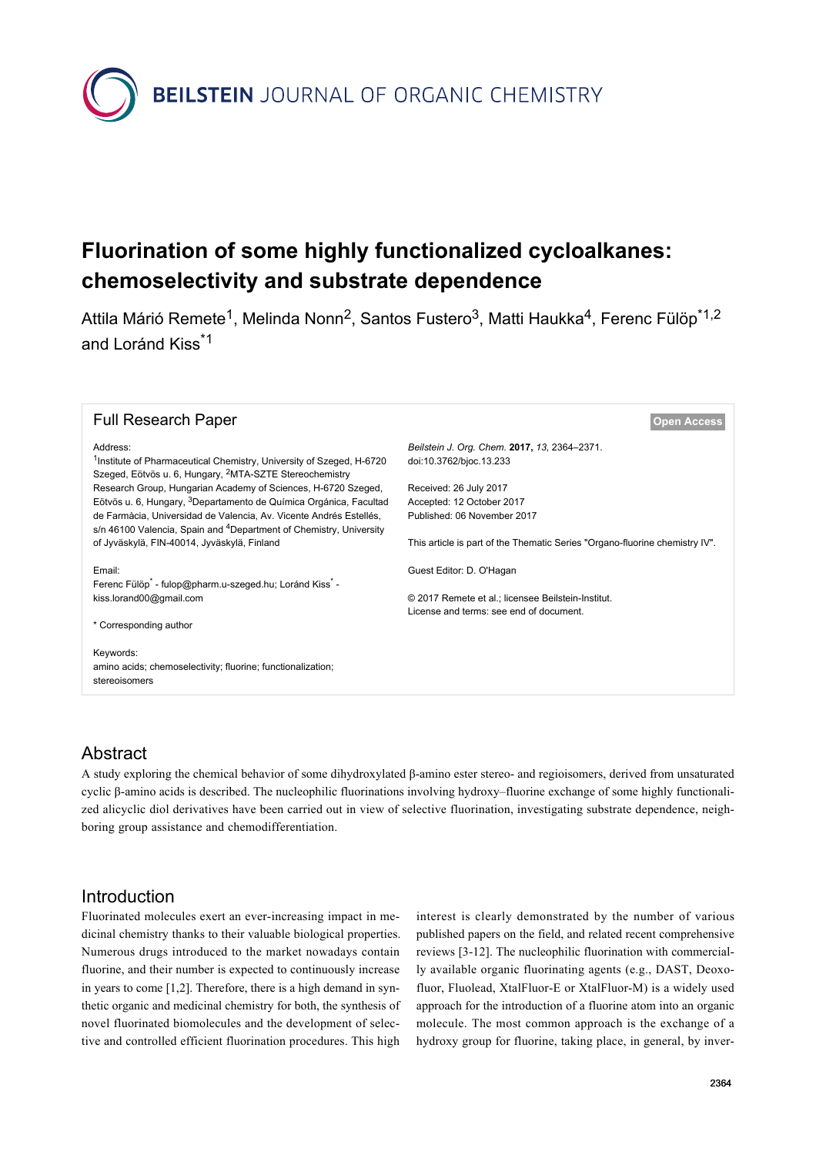**BEILSTEIN** JOURNAL OF ORGANIC CHEMISTRY

# **Fluorination of some highly functionalized cycloalkanes: chemoselectivity and substrate dependence**

Attila Márió Remete<sup>1</sup>, Melinda Nonn<sup>2</sup>, Santos Fustero<sup>3</sup>, Matti Haukka<sup>4</sup>, Ferenc Fülöp<sup>\*1,2</sup> and Loránd Kiss<sup>\*1</sup>

#### **Full Research Paper [Open Access](http://www.beilstein-journals.org/bjoc/about/openAccess.htm)**

*Beilstein J. Org. Chem.* **2017,** *13,* 2364–2371. [doi:10.3762/bjoc.13.233](https://doi.org/10.3762%2Fbjoc.13.233)

Received: 26 July 2017 Accepted: 12 October 2017 Published: 06 November 2017

This article is part of the Thematic Series "Organo-fluorine chemistry IV".

Guest Editor: D. O'Hagan

© 2017 Remete et al.; licensee Beilstein-Institut. License and terms: see end of document.

#### Address:

<sup>1</sup>Institute of Pharmaceutical Chemistry, University of Szeged, H-6720 Szeged, Eötvös u. 6, Hungary, 2MTA-SZTE Stereochemistry Research Group, Hungarian Academy of Sciences, H-6720 Szeged, Eötvös u. 6, Hungary, 3Departamento de Química Orgánica, Facultad de Farmàcia, Universidad de Valencia, Av. Vicente Andrés Estellés, s/n 46100 Valencia, Spain and <sup>4</sup>Department of Chemistry, University of Jyväskylä, FIN-40014, Jyväskylä, Finland

Email:

Ferenc Fülöp<sup>\*</sup> - [fulop@pharm.u-szeged.hu](mailto:fulop@pharm.u-szeged.hu); Loránd Kiss<sup>\*</sup> [kiss.lorand00@gmail.com](mailto:kiss.lorand00@gmail.com)

\* Corresponding author

Keywords: amino acids; chemoselectivity; fluorine; functionalization; stereoisomers

#### Abstract

A study exploring the chemical behavior of some dihydroxylated β-amino ester stereo- and regioisomers, derived from unsaturated cyclic β-amino acids is described. The nucleophilic fluorinations involving hydroxy–fluorine exchange of some highly functionalized alicyclic diol derivatives have been carried out in view of selective fluorination, investigating substrate dependence, neighboring group assistance and chemodifferentiation.

#### Introduction

Fluorinated molecules exert an ever-increasing impact in medicinal chemistry thanks to their valuable biological properties. Numerous drugs introduced to the market nowadays contain fluorine, and their number is expected to continuously increase in years to come [\[1,2\]](#page-6-0). Therefore, there is a high demand in synthetic organic and medicinal chemistry for both, the synthesis of novel fluorinated biomolecules and the development of selective and controlled efficient fluorination procedures. This high

interest is clearly demonstrated by the number of various published papers on the field, and related recent comprehensive reviews [\[3-12\]](#page-6-1). The nucleophilic fluorination with commercially available organic fluorinating agents (e.g., DAST, Deoxofluor, Fluolead, XtalFluor-E or XtalFluor-M) is a widely used approach for the introduction of a fluorine atom into an organic molecule. The most common approach is the exchange of a hydroxy group for fluorine, taking place, in general, by inver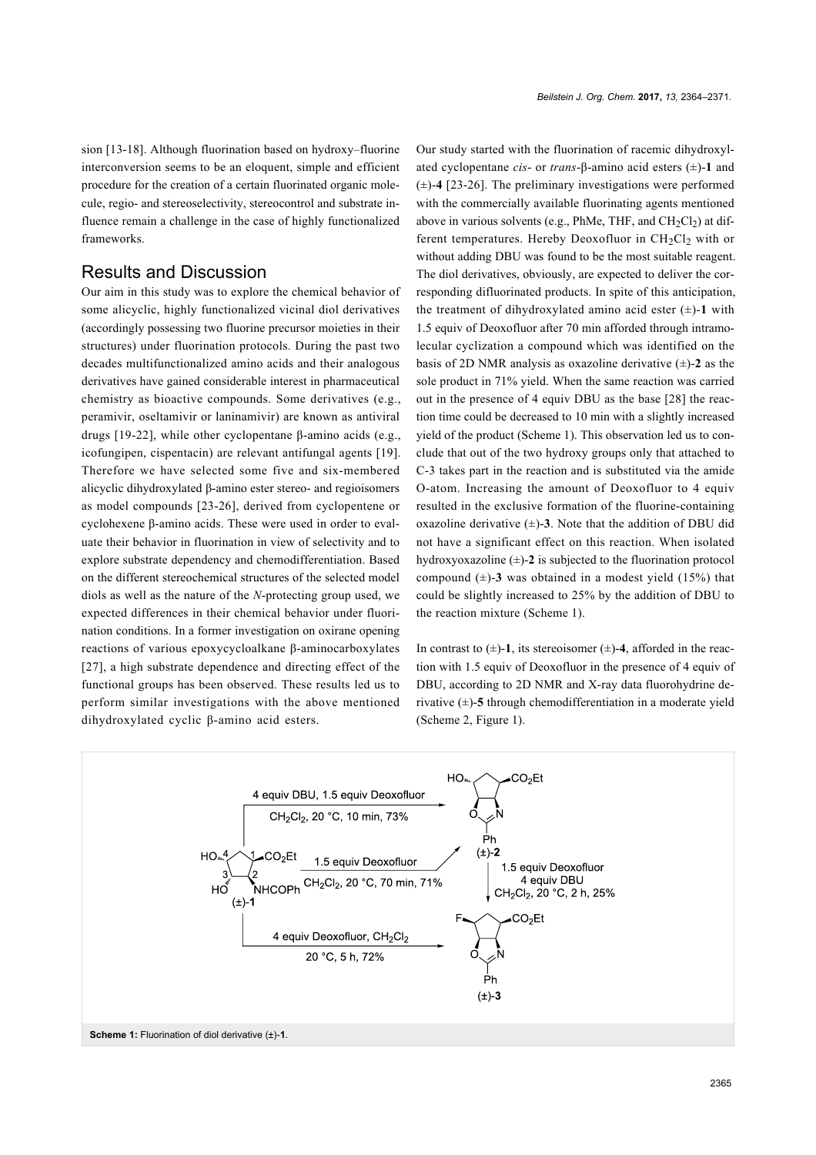sion [\[13-18\].](#page-6-2) Although fluorination based on hydroxy–fluorine interconversion seems to be an eloquent, simple and efficient procedure for the creation of a certain fluorinated organic molecule, regio- and stereoselectivity, stereocontrol and substrate influence remain a challenge in the case of highly functionalized frameworks.

#### Results and Discussion

Our aim in this study was to explore the chemical behavior of some alicyclic, highly functionalized vicinal diol derivatives (accordingly possessing two fluorine precursor moieties in their structures) under fluorination protocols. During the past two decades multifunctionalized amino acids and their analogous derivatives have gained considerable interest in pharmaceutical chemistry as bioactive compounds. Some derivatives (e.g., peramivir, oseltamivir or laninamivir) are known as antiviral drugs [\[19-22\],](#page-7-0) while other cyclopentane β-amino acids (e.g., icofungipen, cispentacin) are relevant antifungal agents [\[19\]](#page-7-0). Therefore we have selected some five and six-membered alicyclic dihydroxylated β-amino ester stereo- and regioisomers as model compounds [\[23-26\]](#page-7-1), derived from cyclopentene or cyclohexene β-amino acids. These were used in order to evaluate their behavior in fluorination in view of selectivity and to explore substrate dependency and chemodifferentiation. Based on the different stereochemical structures of the selected model diols as well as the nature of the *N*-protecting group used, we expected differences in their chemical behavior under fluorination conditions. In a former investigation on oxirane opening reactions of various epoxycycloalkane β-aminocarboxylates [\[27\]](#page-7-2), a high substrate dependence and directing effect of the functional groups has been observed. These results led us to perform similar investigations with the above mentioned dihydroxylated cyclic β-amino acid esters.

Our study started with the fluorination of racemic dihydroxylated cyclopentane *cis*- or *trans*-β-amino acid esters (±)-**1** and (±)-**4** [\[23-26\]](#page-7-1). The preliminary investigations were performed with the commercially available fluorinating agents mentioned above in various solvents (e.g., PhMe, THF, and  $CH<sub>2</sub>Cl<sub>2</sub>$ ) at different temperatures. Hereby Deoxofluor in  $CH<sub>2</sub>Cl<sub>2</sub>$  with or without adding DBU was found to be the most suitable reagent. The diol derivatives, obviously, are expected to deliver the corresponding difluorinated products. In spite of this anticipation, the treatment of dihydroxylated amino acid ester  $(\pm)$ -1 with 1.5 equiv of Deoxofluor after 70 min afforded through intramolecular cyclization a compound which was identified on the basis of 2D NMR analysis as oxazoline derivative  $(\pm)$ -2 as the sole product in 71% yield. When the same reaction was carried out in the presence of 4 equiv DBU as the base [\[28\]](#page-7-3) the reaction time could be decreased to 10 min with a slightly increased yield of the product [\(Scheme 1\)](#page-1-0). This observation led us to conclude that out of the two hydroxy groups only that attached to C-3 takes part in the reaction and is substituted via the amide O-atom. Increasing the amount of Deoxofluor to 4 equiv resulted in the exclusive formation of the fluorine-containing oxazoline derivative  $(\pm)$ -3. Note that the addition of DBU did not have a significant effect on this reaction. When isolated hydroxyoxazoline  $(\pm)$ -2 is subjected to the fluorination protocol compound  $(\pm)$ -3 was obtained in a modest yield  $(15%)$  that could be slightly increased to 25% by the addition of DBU to the reaction mixture ([Scheme 1](#page-1-0)).

In contrast to  $(\pm)$ -1, its stereoisomer  $(\pm)$ -4, afforded in the reaction with 1.5 equiv of Deoxofluor in the presence of 4 equiv of DBU, according to 2D NMR and X-ray data fluorohydrine derivative (±)-**5** through chemodifferentiation in a moderate yield ([Scheme 2](#page-2-0), [Figure 1\)](#page-2-1).

<span id="page-1-0"></span>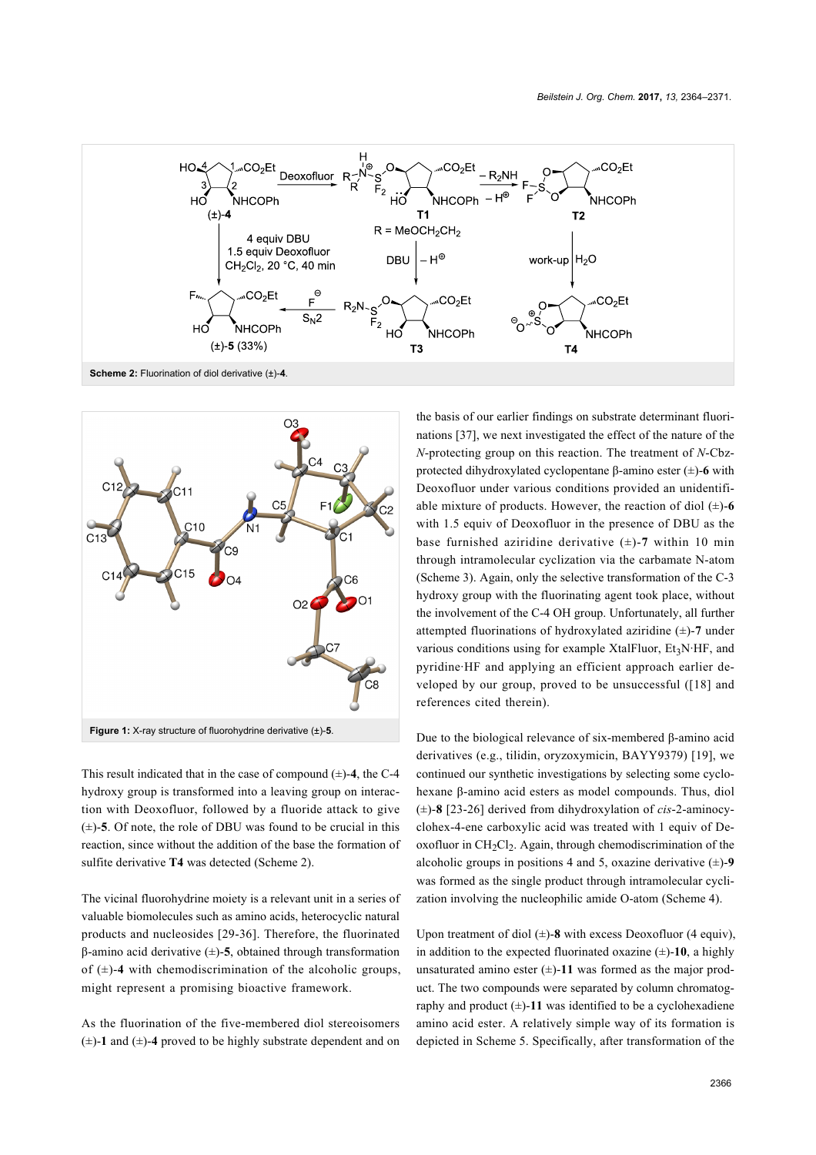<span id="page-2-0"></span>

<span id="page-2-1"></span>

This result indicated that in the case of compound  $(\pm)$ -4, the C-4 hydroxy group is transformed into a leaving group on interaction with Deoxofluor, followed by a fluoride attack to give  $(\pm)$ -5. Of note, the role of DBU was found to be crucial in this reaction, since without the addition of the base the formation of sulfite derivative **T4** was detected [\(Scheme 2\)](#page-2-0).

The vicinal fluorohydrine moiety is a relevant unit in a series of valuable biomolecules such as amino acids, heterocyclic natural products and nucleosides [\[29-36\]](#page-7-4). Therefore, the fluorinated β-amino acid derivative (±)-**5**, obtained through transformation of  $(\pm)$ -4 with chemodiscrimination of the alcoholic groups, might represent a promising bioactive framework.

As the fluorination of the five-membered diol stereoisomers  $(\pm)$ -1 and  $(\pm)$ -4 proved to be highly substrate dependent and on the basis of our earlier findings on substrate determinant fluorinations [\[37\]](#page-7-5), we next investigated the effect of the nature of the *N*-protecting group on this reaction. The treatment of *N*-Cbzprotected dihydroxylated cyclopentane β-amino ester (±)-**6** with Deoxofluor under various conditions provided an unidentifiable mixture of products. However, the reaction of diol  $(\pm)$ -6 with 1.5 equiv of Deoxofluor in the presence of DBU as the base furnished aziridine derivative  $(\pm)$ -7 within 10 min through intramolecular cyclization via the carbamate N-atom ([Scheme 3](#page-3-0)). Again, only the selective transformation of the C-3 hydroxy group with the fluorinating agent took place, without the involvement of the C-4 OH group. Unfortunately, all further attempted fluorinations of hydroxylated aziridine (±)-**7** under various conditions using for example XtalFluor,  $Et<sub>3</sub>N·HF$ , and pyridine·HF and applying an efficient approach earlier developed by our group, proved to be unsuccessful ([\[18\]](#page-7-6) and references cited therein).

Due to the biological relevance of six-membered β-amino acid derivatives (e.g., tilidin, oryzoxymicin, BAYY9379) [\[19\],](#page-7-0) we continued our synthetic investigations by selecting some cyclohexane β-amino acid esters as model compounds. Thus, diol (±)-**8** [\[23-26\]](#page-7-1) derived from dihydroxylation of *cis*-2-aminocyclohex-4-ene carboxylic acid was treated with 1 equiv of Deoxofluor in  $CH_2Cl_2$ . Again, through chemodiscrimination of the alcoholic groups in positions 4 and 5, oxazine derivative  $(\pm)$ -9 was formed as the single product through intramolecular cyclization involving the nucleophilic amide O-atom ([Scheme 4](#page-3-1)).

Upon treatment of diol  $(\pm)$ -8 with excess Deoxofluor (4 equiv), in addition to the expected fluorinated oxazine  $(\pm)$ -10, a highly unsaturated amino ester  $(\pm)$ -11 was formed as the major product. The two compounds were separated by column chromatography and product  $(\pm)$ -11 was identified to be a cyclohexadiene amino acid ester. A relatively simple way of its formation is depicted in [Scheme 5](#page-3-2). Specifically, after transformation of the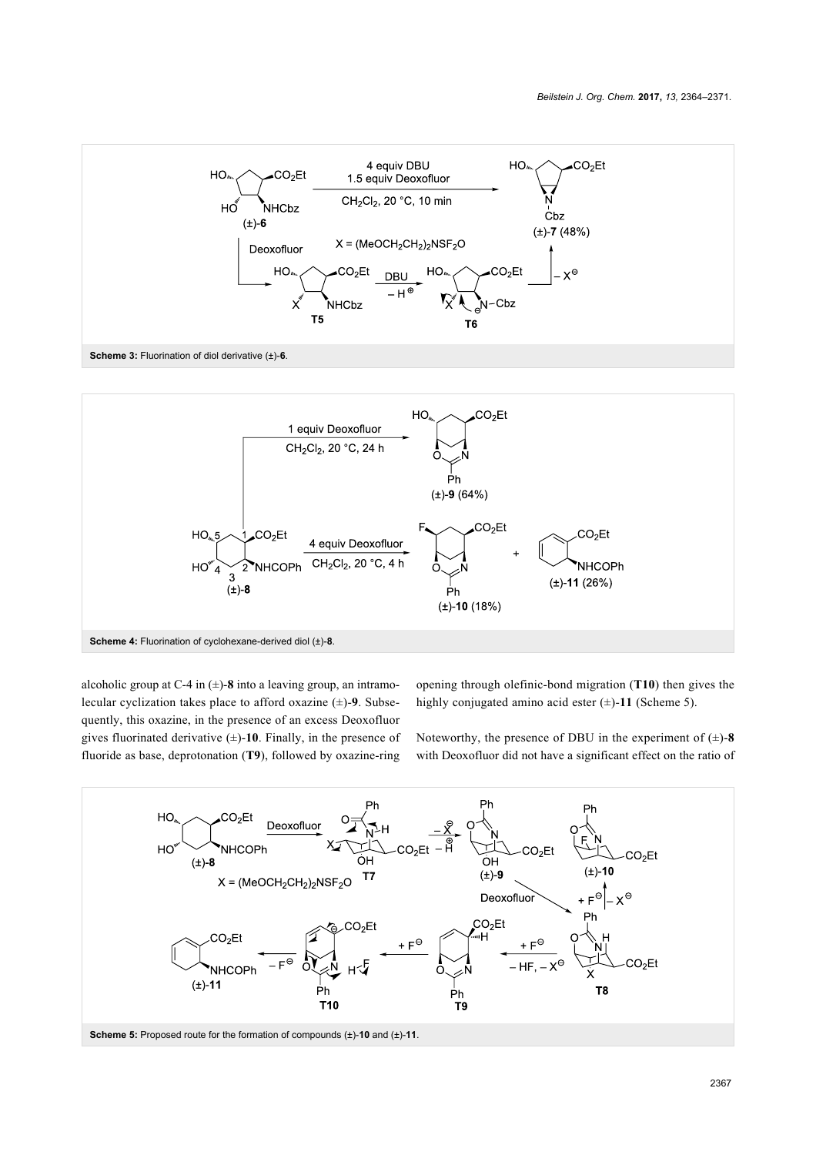<span id="page-3-0"></span>

<span id="page-3-1"></span>

alcoholic group at C-4 in  $(\pm)$ -8 into a leaving group, an intramolecular cyclization takes place to afford oxazine (±)-**9**. Subsequently, this oxazine, in the presence of an excess Deoxofluor gives fluorinated derivative  $(\pm)$ -10. Finally, in the presence of fluoride as base, deprotonation (**T9**), followed by oxazine-ring

opening through olefinic-bond migration (**T10**) then gives the highly conjugated amino acid ester  $(\pm)$ -11 ([Scheme 5](#page-3-2)).

Noteworthy, the presence of DBU in the experiment of  $(\pm)$ -8 with Deoxofluor did not have a significant effect on the ratio of

<span id="page-3-2"></span>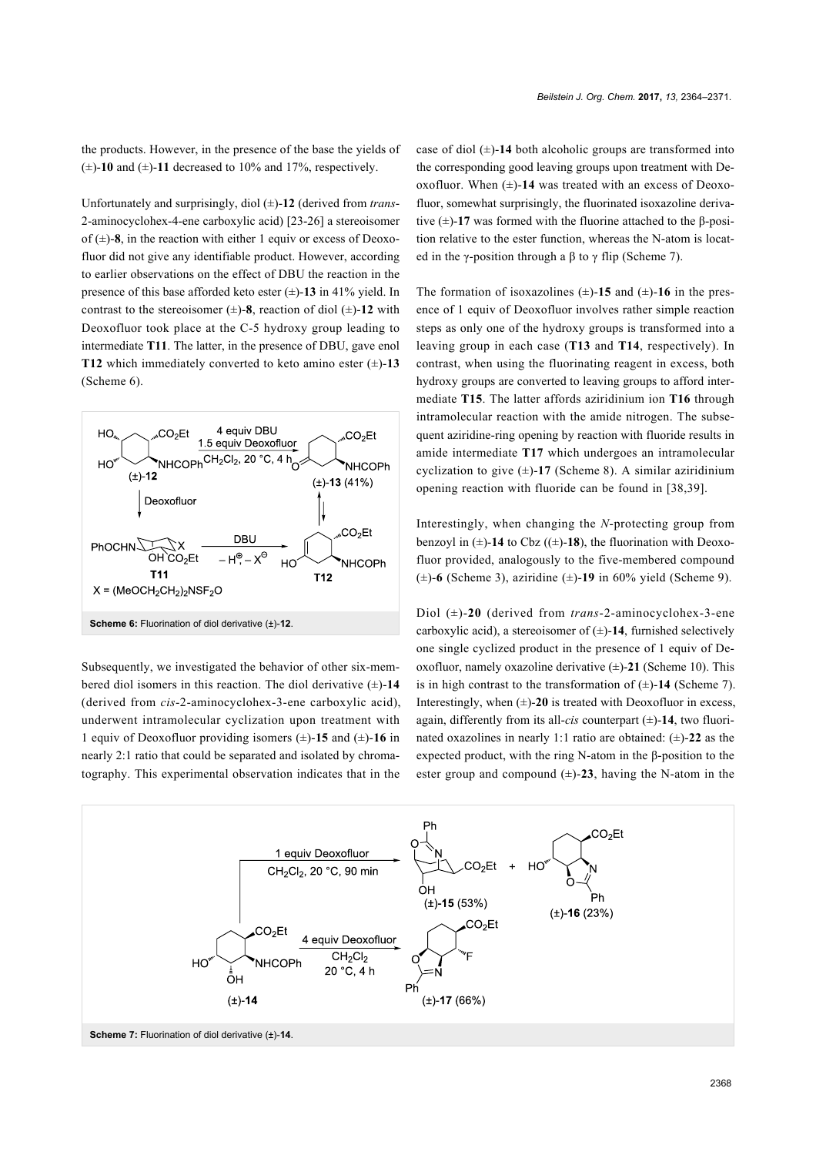the products. However, in the presence of the base the yields of  $(\pm)$ -10 and  $(\pm)$ -11 decreased to 10% and 17%, respectively.

Unfortunately and surprisingly, diol (±)-**12** (derived from *trans*-2-aminocyclohex-4-ene carboxylic acid) [\[23-26\]](#page-7-1) a stereoisomer of  $(\pm)$ -8, in the reaction with either 1 equiv or excess of Deoxofluor did not give any identifiable product. However, according to earlier observations on the effect of DBU the reaction in the presence of this base afforded keto ester (±)-**13** in 41% yield. In contrast to the stereoisomer  $(\pm)$ -8, reaction of diol  $(\pm)$ -12 with Deoxofluor took place at the C-5 hydroxy group leading to intermediate **T11**. The latter, in the presence of DBU, gave enol **T12** which immediately converted to keto amino ester  $(\pm)$ -13 ([Scheme 6](#page-4-0)).

<span id="page-4-0"></span>

Subsequently, we investigated the behavior of other six-membered diol isomers in this reaction. The diol derivative (±)-**14** (derived from *cis*-2-aminocyclohex-3-ene carboxylic acid), underwent intramolecular cyclization upon treatment with 1 equiv of Deoxofluor providing isomers (±)-**15** and (±)-**16** in nearly 2:1 ratio that could be separated and isolated by chromatography. This experimental observation indicates that in the

case of diol  $(\pm)$ -14 both alcoholic groups are transformed into the corresponding good leaving groups upon treatment with Deoxofluor. When  $(\pm)$ -14 was treated with an excess of Deoxofluor, somewhat surprisingly, the fluorinated isoxazoline derivative (±)-**17** was formed with the fluorine attached to the β-position relative to the ester function, whereas the N-atom is located in the γ-position through a  $\beta$  to  $\gamma$  flip ([Scheme 7\)](#page-4-1).

The formation of isoxazolines  $(\pm)$ -15 and  $(\pm)$ -16 in the presence of 1 equiv of Deoxofluor involves rather simple reaction steps as only one of the hydroxy groups is transformed into a leaving group in each case (**T13** and **T14**, respectively). In contrast, when using the fluorinating reagent in excess, both hydroxy groups are converted to leaving groups to afford intermediate **T15**. The latter affords aziridinium ion **T16** through intramolecular reaction with the amide nitrogen. The subsequent aziridine-ring opening by reaction with fluoride results in amide intermediate **T17** which undergoes an intramolecular cyclization to give  $(\pm)$ -17 ([Scheme 8](#page-5-0)). A similar aziridinium opening reaction with fluoride can be found in [\[38,39\]](#page-7-7).

Interestingly, when changing the *N*-protecting group from benzoyl in  $(\pm)$ -14 to Cbz  $((\pm)$ -18), the fluorination with Deoxofluor provided, analogously to the five-membered compound (±)-**6** ([Scheme 3](#page-3-0)), aziridine (±)-**19** in 60% yield ([Scheme 9](#page-5-1)).

Diol (±)-**20** (derived from *trans*-2-aminocyclohex-3-ene carboxylic acid), a stereoisomer of  $(\pm)$ -14, furnished selectively one single cyclized product in the presence of 1 equiv of Deoxofluor, namely oxazoline derivative (±)-**21** [\(Scheme 10\)](#page-5-2). This is in high contrast to the transformation of  $(\pm)$ -14 ([Scheme 7](#page-4-1)). Interestingly, when  $(\pm)$ -20 is treated with Deoxofluor in excess, again, differently from its all-*cis* counterpart  $(\pm)$ -14, two fluorinated oxazolines in nearly 1:1 ratio are obtained: (±)-**22** as the expected product, with the ring N-atom in the β-position to the ester group and compound  $(\pm)$ -23, having the N-atom in the

<span id="page-4-1"></span>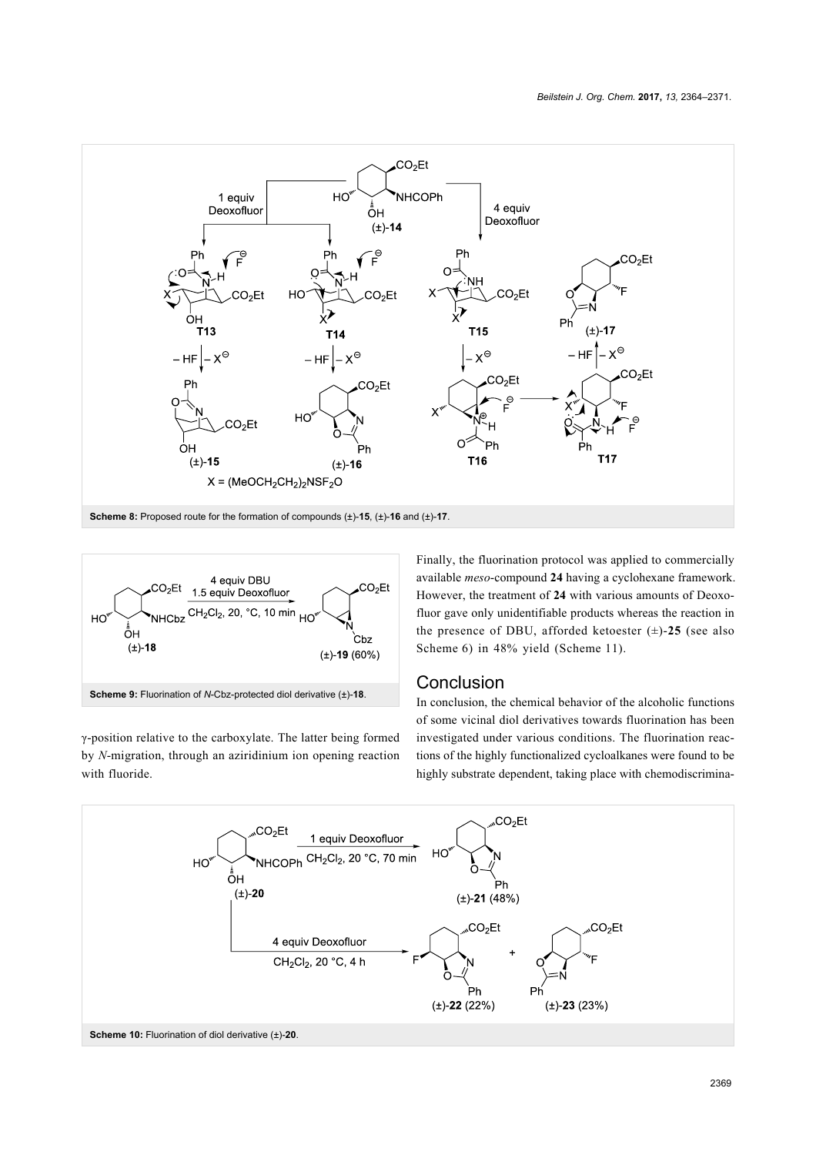<span id="page-5-0"></span>

<span id="page-5-1"></span>

γ-position relative to the carboxylate. The latter being formed by *N*-migration, through an aziridinium ion opening reaction with fluoride.

Finally, the fluorination protocol was applied to commercially available *meso*-compound **24** having a cyclohexane framework. However, the treatment of **24** with various amounts of Deoxofluor gave only unidentifiable products whereas the reaction in the presence of DBU, afforded ketoester  $(\pm)$ -25 (see also [Scheme 6](#page-4-0)) in 48% yield ([Scheme 11](#page-6-3)).

### **Conclusion**

In conclusion, the chemical behavior of the alcoholic functions of some vicinal diol derivatives towards fluorination has been investigated under various conditions. The fluorination reactions of the highly functionalized cycloalkanes were found to be highly substrate dependent, taking place with chemodiscrimina-

<span id="page-5-2"></span>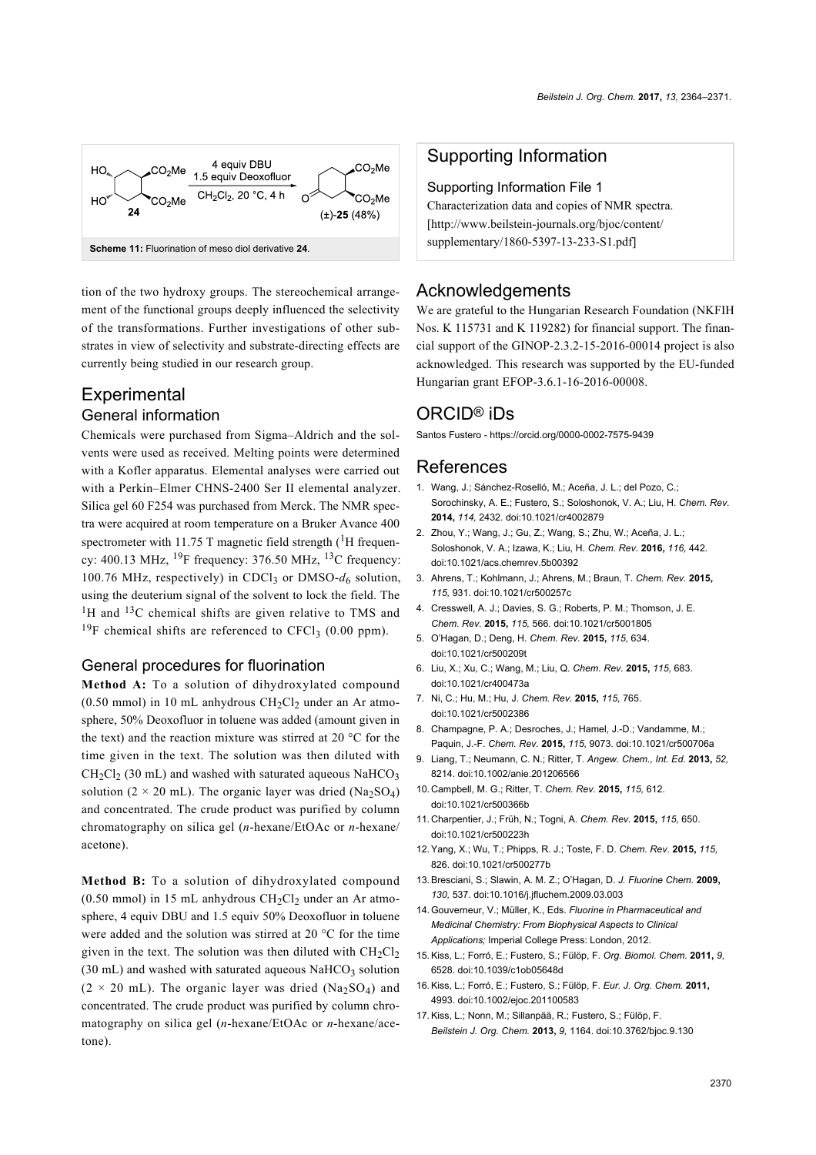<span id="page-6-3"></span>

tion of the two hydroxy groups. The stereochemical arrangement of the functional groups deeply influenced the selectivity of the transformations. Further investigations of other substrates in view of selectivity and substrate-directing effects are currently being studied in our research group.

# **Experimental**

#### General information

Chemicals were purchased from Sigma–Aldrich and the solvents were used as received. Melting points were determined with a Kofler apparatus. Elemental analyses were carried out with a Perkin–Elmer CHNS-2400 Ser II elemental analyzer. Silica gel 60 F254 was purchased from Merck. The NMR spectra were acquired at room temperature on a Bruker Avance 400 spectrometer with 11.75 T magnetic field strength  $(^1H$  frequency: 400.13 MHz,  $^{19}$ F frequency: 376.50 MHz,  $^{13}$ C frequency: 100.76 MHz, respectively) in CDCl<sub>3</sub> or DMSO- $d_6$  solution, using the deuterium signal of the solvent to lock the field. The <sup>1</sup>H and <sup>13</sup>C chemical shifts are given relative to TMS and <sup>19</sup>F chemical shifts are referenced to CFCl<sub>3</sub> (0.00 ppm).

#### General procedures for fluorination

**Method A:** To a solution of dihydroxylated compound (0.50 mmol) in 10 mL anhydrous  $CH<sub>2</sub>Cl<sub>2</sub>$  under an Ar atmosphere, 50% Deoxofluor in toluene was added (amount given in the text) and the reaction mixture was stirred at 20 °C for the time given in the text. The solution was then diluted with  $CH_2Cl_2$  (30 mL) and washed with saturated aqueous NaHCO<sub>3</sub> solution ( $2 \times 20$  mL). The organic layer was dried (Na<sub>2</sub>SO<sub>4</sub>) and concentrated. The crude product was purified by column chromatography on silica gel (*n*-hexane/EtOAc or *n*-hexane/ acetone).

**Method B:** To a solution of dihydroxylated compound  $(0.50 \text{ mmol})$  in 15 mL anhydrous  $CH_2Cl_2$  under an Ar atmosphere, 4 equiv DBU and 1.5 equiv 50% Deoxofluor in toluene were added and the solution was stirred at 20 °C for the time given in the text. The solution was then diluted with  $CH_2Cl_2$  $(30 \text{ mL})$  and washed with saturated aqueous NaHCO<sub>3</sub> solution  $(2 \times 20 \text{ mL})$ . The organic layer was dried (Na<sub>2</sub>SO<sub>4</sub>) and concentrated. The crude product was purified by column chromatography on silica gel (*n*-hexane/EtOAc or *n*-hexane/acetone).

#### Supporting Information

#### Supporting Information File 1

Characterization data and copies of NMR spectra. [\[http://www.beilstein-journals.org/bjoc/content/](http://www.beilstein-journals.org/bjoc/content/supplementary/1860-5397-13-233-S1.pdf) [supplementary/1860-5397-13-233-S1.pdf\]](http://www.beilstein-journals.org/bjoc/content/supplementary/1860-5397-13-233-S1.pdf)

#### Acknowledgements

We are grateful to the Hungarian Research Foundation (NKFIH Nos. K 115731 and K 119282) for financial support. The financial support of the GINOP-2.3.2-15-2016-00014 project is also acknowledged. This research was supported by the EU-funded Hungarian grant EFOP-3.6.1-16-2016-00008.

## ORCID® iDs

Santos Fustero -<https://orcid.org/0000-0002-7575-9439>

#### References

- <span id="page-6-0"></span>1. Wang, J.; Sánchez-Roselló, M.; Aceña, J. L.; del Pozo, C.; Sorochinsky, A. E.; Fustero, S.; Soloshonok, V. A.; Liu, H. *Chem. Rev.* **2014,** *114,* 2432. [doi:10.1021/cr4002879](https://doi.org/10.1021%2Fcr4002879)
- 2. Zhou, Y.; Wang, J.; Gu, Z.; Wang, S.; Zhu, W.; Aceña, J. L.; Soloshonok, V. A.; Izawa, K.; Liu, H. *Chem. Rev.* **2016,** *116,* 442. [doi:10.1021/acs.chemrev.5b00392](https://doi.org/10.1021%2Facs.chemrev.5b00392)
- <span id="page-6-1"></span>3. Ahrens, T.; Kohlmann, J.; Ahrens, M.; Braun, T. *Chem. Rev.* **2015,** *115,* 931. [doi:10.1021/cr500257c](https://doi.org/10.1021%2Fcr500257c)
- 4. Cresswell, A. J.; Davies, S. G.; Roberts, P. M.; Thomson, J. E. *Chem. Rev.* **2015,** *115,* 566. [doi:10.1021/cr5001805](https://doi.org/10.1021%2Fcr5001805)
- 5. O'Hagan, D.; Deng, H. *Chem. Rev.* **2015,** *115,* 634. [doi:10.1021/cr500209t](https://doi.org/10.1021%2Fcr500209t)
- 6. Liu, X.; Xu, C.; Wang, M.; Liu, Q. *Chem. Rev.* **2015,** *115,* 683. [doi:10.1021/cr400473a](https://doi.org/10.1021%2Fcr400473a)
- 7. Ni, C.; Hu, M.; Hu, J. *Chem. Rev.* **2015,** *115,* 765. [doi:10.1021/cr5002386](https://doi.org/10.1021%2Fcr5002386)
- 8. Champagne, P. A.; Desroches, J.; Hamel, J.-D.; Vandamme, M.; Paquin, J.-F. *Chem. Rev.* **2015,** *115,* 9073. [doi:10.1021/cr500706a](https://doi.org/10.1021%2Fcr500706a)
- 9. Liang, T.; Neumann, C. N.; Ritter, T. *Angew. Chem., Int. Ed.* **2013,** *52,* 8214. [doi:10.1002/anie.201206566](https://doi.org/10.1002%2Fanie.201206566)
- 10. Campbell, M. G.; Ritter, T. *Chem. Rev.* **2015,** *115,* 612. [doi:10.1021/cr500366b](https://doi.org/10.1021%2Fcr500366b)
- 11. Charpentier, J.; Früh, N.; Togni, A. *Chem. Rev.* **2015,** *115,* 650. [doi:10.1021/cr500223h](https://doi.org/10.1021%2Fcr500223h)
- 12.Yang, X.; Wu, T.; Phipps, R. J.; Toste, F. D. *Chem. Rev.* **2015,** *115,* 826. [doi:10.1021/cr500277b](https://doi.org/10.1021%2Fcr500277b)
- <span id="page-6-2"></span>13.Bresciani, S.; Slawin, A. M. Z.; O'Hagan, D. *J. Fluorine Chem.* **2009,** *130,* 537. [doi:10.1016/j.jfluchem.2009.03.003](https://doi.org/10.1016%2Fj.jfluchem.2009.03.003)
- 14.Gouverneur, V.; Müller, K., Eds. *Fluorine in Pharmaceutical and Medicinal Chemistry: From Biophysical Aspects to Clinical Applications;* Imperial College Press: London, 2012.
- 15.Kiss, L.; Forró, E.; Fustero, S.; Fülöp, F. *Org. Biomol. Chem.* **2011,** *9,* 6528. [doi:10.1039/c1ob05648d](https://doi.org/10.1039%2Fc1ob05648d)
- 16.Kiss, L.; Forró, E.; Fustero, S.; Fülöp, F. *Eur. J. Org. Chem.* **2011,** 4993. [doi:10.1002/ejoc.201100583](https://doi.org/10.1002%2Fejoc.201100583)
- 17.Kiss, L.; Nonn, M.; Sillanpää, R.; Fustero, S.; Fülöp, F. *Beilstein J. Org. Chem.* **2013,** *9,* 1164. [doi:10.3762/bjoc.9.130](https://doi.org/10.3762%2Fbjoc.9.130)